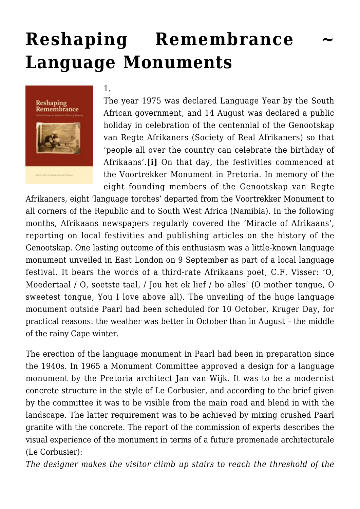# **Reshaping Remembrance [Language Monuments](https://rozenbergquarterly.com/reshaping-remembrance-language-monuments/)**



#### 1.

The year 1975 was declared Language Year by the South African government, and 14 August was declared a public holiday in celebration of the centennial of the Genootskap van Regte Afrikaners (Society of Real Afrikaners) so that 'people all over the country can celebrate the birthday of Afrikaans'.**[i]** On that day, the festivities commenced at the Voortrekker Monument in Pretoria. In memory of the eight founding members of the Genootskap van Regte

Afrikaners, eight 'language torches' departed from the Voortrekker Monument to all corners of the Republic and to South West Africa (Namibia). In the following months, Afrikaans newspapers regularly covered the 'Miracle of Afrikaans', reporting on local festivities and publishing articles on the history of the Genootskap. One lasting outcome of this enthusiasm was a little-known language monument unveiled in East London on 9 September as part of a local language festival. It bears the words of a third-rate Afrikaans poet, C.F. Visser: 'O, Moedertaal / O, soetste taal, / Jou het ek lief / bo alles' (O mother tongue, O sweetest tongue, You I love above all). The unveiling of the huge language monument outside Paarl had been scheduled for 10 October, Kruger Day, for practical reasons: the weather was better in October than in August – the middle of the rainy Cape winter.

The erection of the language monument in Paarl had been in preparation since the 1940s. In 1965 a Monument Committee approved a design for a language monument by the Pretoria architect Jan van Wijk. It was to be a modernist concrete structure in the style of Le Corbusier, and according to the brief given by the committee it was to be visible from the main road and blend in with the landscape. The latter requirement was to be achieved by mixing crushed Paarl granite with the concrete. The report of the commission of experts describes the visual experience of the monument in terms of a future promenade architecturale (Le Corbusier):

*The designer makes the visitor climb up stairs to reach the threshold of the*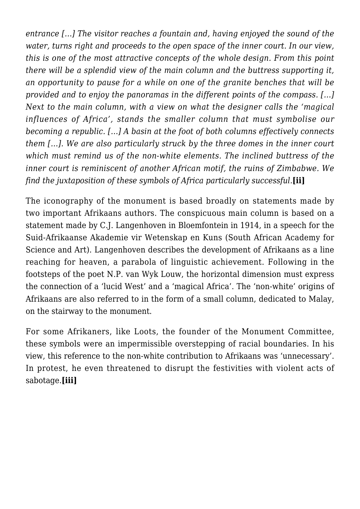*entrance […] The visitor reaches a fountain and, having enjoyed the sound of the water, turns right and proceeds to the open space of the inner court. In our view, this is one of the most attractive concepts of the whole design. From this point there will be a splendid view of the main column and the buttress supporting it, an opportunity to pause for a while on one of the granite benches that will be provided and to enjoy the panoramas in the different points of the compass. […] Next to the main column, with a view on what the designer calls the 'magical influences of Africa', stands the smaller column that must symbolise our becoming a republic. […] A basin at the foot of both columns effectively connects them […]. We are also particularly struck by the three domes in the inner court which must remind us of the non-white elements. The inclined buttress of the inner court is reminiscent of another African motif, the ruins of Zimbabwe. We find the juxtaposition of these symbols of Africa particularly successful.***[ii]**

The iconography of the monument is based broadly on statements made by two important Afrikaans authors. The conspicuous main column is based on a statement made by C.J. Langenhoven in Bloemfontein in 1914, in a speech for the Suid-Afrikaanse Akademie vir Wetenskap en Kuns (South African Academy for Science and Art). Langenhoven describes the development of Afrikaans as a line reaching for heaven, a parabola of linguistic achievement. Following in the footsteps of the poet N.P. van Wyk Louw, the horizontal dimension must express the connection of a 'lucid West' and a 'magical Africa'. The 'non-white' origins of Afrikaans are also referred to in the form of a small column, dedicated to Malay, on the stairway to the monument.

For some Afrikaners, like Loots, the founder of the Monument Committee, these symbols were an impermissible overstepping of racial boundaries. In his view, this reference to the non-white contribution to Afrikaans was 'unnecessary'. In protest, he even threatened to disrupt the festivities with violent acts of sabotage.**[iii]**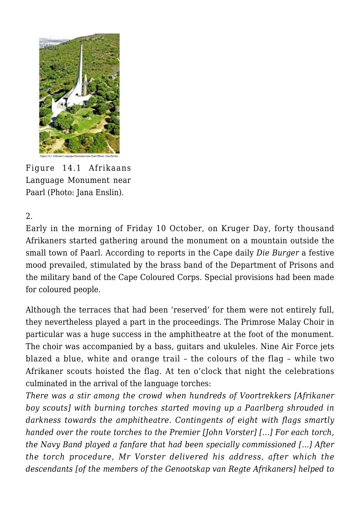

Figure 14.1 Afrikaans Language Monument near Paarl (Photo: Jana Enslin).

2.

Early in the morning of Friday 10 October, on Kruger Day, forty thousand Afrikaners started gathering around the monument on a mountain outside the small town of Paarl. According to reports in the Cape daily *Die Burger* a festive mood prevailed, stimulated by the brass band of the Department of Prisons and the military band of the Cape Coloured Corps. Special provisions had been made for coloured people.

Although the terraces that had been 'reserved' for them were not entirely full, they nevertheless played a part in the proceedings. The Primrose Malay Choir in particular was a huge success in the amphitheatre at the foot of the monument. The choir was accompanied by a bass, guitars and ukuleles. Nine Air Force jets blazed a blue, white and orange trail – the colours of the flag – while two Afrikaner scouts hoisted the flag. At ten o'clock that night the celebrations culminated in the arrival of the language torches:

*There was a stir among the crowd when hundreds of Voortrekkers [Afrikaner boy scouts] with burning torches started moving up a Paarlberg shrouded in darkness towards the amphitheatre. Contingents of eight with flags smartly handed over the route torches to the Premier [John Vorster] […] For each torch, the Navy Band played a fanfare that had been specially commissioned […] After the torch procedure, Mr Vorster delivered his address, after which the descendants [of the members of the Genootskap van Regte Afrikaners] helped to*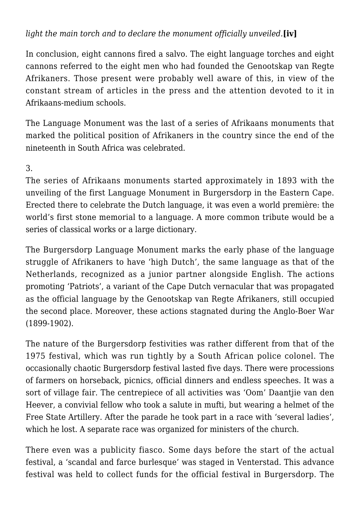## *light the main torch and to declare the monument officially unveiled.***[iv]**

In conclusion, eight cannons fired a salvo. The eight language torches and eight cannons referred to the eight men who had founded the Genootskap van Regte Afrikaners. Those present were probably well aware of this, in view of the constant stream of articles in the press and the attention devoted to it in Afrikaans-medium schools.

The Language Monument was the last of a series of Afrikaans monuments that marked the political position of Afrikaners in the country since the end of the nineteenth in South Africa was celebrated.

#### 3.

The series of Afrikaans monuments started approximately in 1893 with the unveiling of the first Language Monument in Burgersdorp in the Eastern Cape. Erected there to celebrate the Dutch language, it was even a world première: the world's first stone memorial to a language. A more common tribute would be a series of classical works or a large dictionary.

The Burgersdorp Language Monument marks the early phase of the language struggle of Afrikaners to have 'high Dutch', the same language as that of the Netherlands, recognized as a junior partner alongside English. The actions promoting 'Patriots', a variant of the Cape Dutch vernacular that was propagated as the official language by the Genootskap van Regte Afrikaners, still occupied the second place. Moreover, these actions stagnated during the Anglo-Boer War (1899-1902).

The nature of the Burgersdorp festivities was rather different from that of the 1975 festival, which was run tightly by a South African police colonel. The occasionally chaotic Burgersdorp festival lasted five days. There were processions of farmers on horseback, picnics, official dinners and endless speeches. It was a sort of village fair. The centrepiece of all activities was 'Oom' Daantjie van den Heever, a convivial fellow who took a salute in mufti, but wearing a helmet of the Free State Artillery. After the parade he took part in a race with 'several ladies', which he lost. A separate race was organized for ministers of the church.

There even was a publicity fiasco. Some days before the start of the actual festival, a 'scandal and farce burlesque' was staged in Venterstad. This advance festival was held to collect funds for the official festival in Burgersdorp. The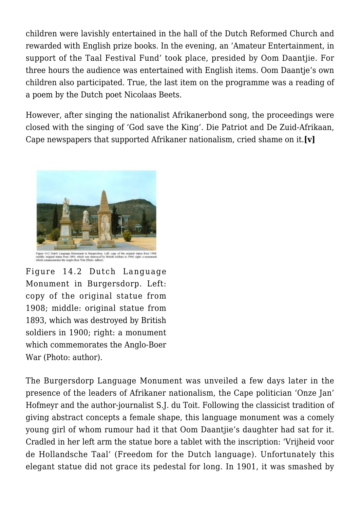children were lavishly entertained in the hall of the Dutch Reformed Church and rewarded with English prize books. In the evening, an 'Amateur Entertainment, in support of the Taal Festival Fund' took place, presided by Oom Daantjie. For three hours the audience was entertained with English items. Oom Daantje's own children also participated. True, the last item on the programme was a reading of a poem by the Dutch poet Nicolaas Beets.

However, after singing the nationalist Afrikanerbond song, the proceedings were closed with the singing of 'God save the King'. Die Patriot and De Zuid-Afrikaan, Cape newspapers that supported Afrikaner nationalism, cried shame on it.**[v]**



Figure 14.2 Dutch Language Monument in Burgersdorp. Left: copy of the original statue from 1908; middle: original statue from 1893, which was destroyed by British soldiers in 1900; right: a monument

which commemorates the Anglo-Boer War (Photo: author).

The Burgersdorp Language Monument was unveiled a few days later in the presence of the leaders of Afrikaner nationalism, the Cape politician 'Onze Jan' Hofmeyr and the author-journalist S.J. du Toit. Following the classicist tradition of giving abstract concepts a female shape, this language monument was a comely young girl of whom rumour had it that Oom Daantjie's daughter had sat for it. Cradled in her left arm the statue bore a tablet with the inscription: 'Vrijheid voor de Hollandsche Taal' (Freedom for the Dutch language). Unfortunately this elegant statue did not grace its pedestal for long. In 1901, it was smashed by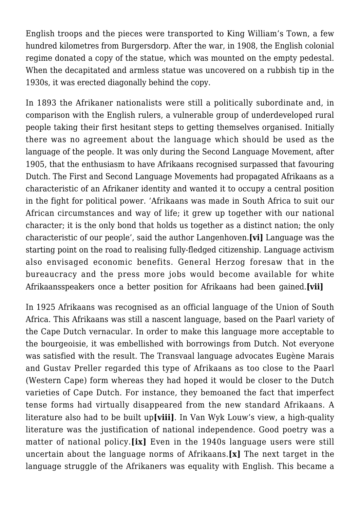English troops and the pieces were transported to King William's Town, a few hundred kilometres from Burgersdorp. After the war, in 1908, the English colonial regime donated a copy of the statue, which was mounted on the empty pedestal. When the decapitated and armless statue was uncovered on a rubbish tip in the 1930s, it was erected diagonally behind the copy.

In 1893 the Afrikaner nationalists were still a politically subordinate and, in comparison with the English rulers, a vulnerable group of underdeveloped rural people taking their first hesitant steps to getting themselves organised. Initially there was no agreement about the language which should be used as the language of the people. It was only during the Second Language Movement, after 1905, that the enthusiasm to have Afrikaans recognised surpassed that favouring Dutch. The First and Second Language Movements had propagated Afrikaans as a characteristic of an Afrikaner identity and wanted it to occupy a central position in the fight for political power. 'Afrikaans was made in South Africa to suit our African circumstances and way of life; it grew up together with our national character; it is the only bond that holds us together as a distinct nation; the only characteristic of our people', said the author Langenhoven.**[vi]** Language was the starting point on the road to realising fully-fledged citizenship. Language activism also envisaged economic benefits. General Herzog foresaw that in the bureaucracy and the press more jobs would become available for white Afrikaansspeakers once a better position for Afrikaans had been gained.**[vii]**

In 1925 Afrikaans was recognised as an official language of the Union of South Africa. This Afrikaans was still a nascent language, based on the Paarl variety of the Cape Dutch vernacular. In order to make this language more acceptable to the bourgeoisie, it was embellished with borrowings from Dutch. Not everyone was satisfied with the result. The Transvaal language advocates Eugène Marais and Gustav Preller regarded this type of Afrikaans as too close to the Paarl (Western Cape) form whereas they had hoped it would be closer to the Dutch varieties of Cape Dutch. For instance, they bemoaned the fact that imperfect tense forms had virtually disappeared from the new standard Afrikaans. A literature also had to be built up**[viii]**. In Van Wyk Louw's view, a high-quality literature was the justification of national independence. Good poetry was a matter of national policy.**[ix]** Even in the 1940s language users were still uncertain about the language norms of Afrikaans.**[x]** The next target in the language struggle of the Afrikaners was equality with English. This became a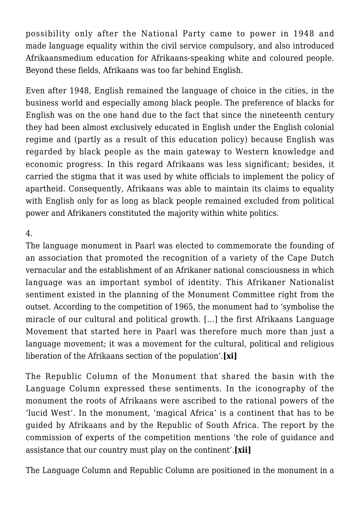possibility only after the National Party came to power in 1948 and made language equality within the civil service compulsory, and also introduced Afrikaansmedium education for Afrikaans-speaking white and coloured people. Beyond these fields, Afrikaans was too far behind English.

Even after 1948, English remained the language of choice in the cities, in the business world and especially among black people. The preference of blacks for English was on the one hand due to the fact that since the nineteenth century they had been almost exclusively educated in English under the English colonial regime and (partly as a result of this education policy) because English was regarded by black people as the main gateway to Western knowledge and economic progress. In this regard Afrikaans was less significant; besides, it carried the stigma that it was used by white officials to implement the policy of apartheid. Consequently, Afrikaans was able to maintain its claims to equality with English only for as long as black people remained excluded from political power and Afrikaners constituted the majority within white politics.

#### 4.

The language monument in Paarl was elected to commemorate the founding of an association that promoted the recognition of a variety of the Cape Dutch vernacular and the establishment of an Afrikaner national consciousness in which language was an important symbol of identity. This Afrikaner Nationalist sentiment existed in the planning of the Monument Committee right from the outset. According to the competition of 1965, the monument had to 'symbolise the miracle of our cultural and political growth. […] the first Afrikaans Language Movement that started here in Paarl was therefore much more than just a language movement; it was a movement for the cultural, political and religious liberation of the Afrikaans section of the population'.**[xi]**

The Republic Column of the Monument that shared the basin with the Language Column expressed these sentiments. In the iconography of the monument the roots of Afrikaans were ascribed to the rational powers of the 'lucid West'. In the monument, 'magical Africa' is a continent that has to be guided by Afrikaans and by the Republic of South Africa. The report by the commission of experts of the competition mentions 'the role of guidance and assistance that our country must play on the continent'.**[xii]**

The Language Column and Republic Column are positioned in the monument in a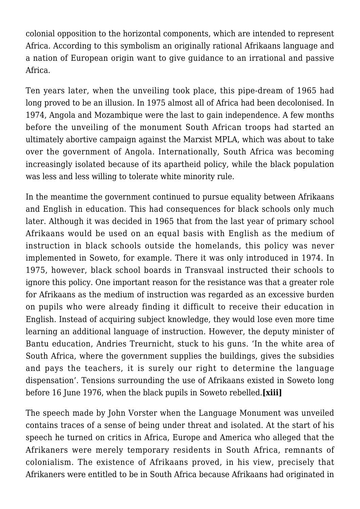colonial opposition to the horizontal components, which are intended to represent Africa. According to this symbolism an originally rational Afrikaans language and a nation of European origin want to give guidance to an irrational and passive Africa.

Ten years later, when the unveiling took place, this pipe-dream of 1965 had long proved to be an illusion. In 1975 almost all of Africa had been decolonised. In 1974, Angola and Mozambique were the last to gain independence. A few months before the unveiling of the monument South African troops had started an ultimately abortive campaign against the Marxist MPLA, which was about to take over the government of Angola. Internationally, South Africa was becoming increasingly isolated because of its apartheid policy, while the black population was less and less willing to tolerate white minority rule.

In the meantime the government continued to pursue equality between Afrikaans and English in education. This had consequences for black schools only much later. Although it was decided in 1965 that from the last year of primary school Afrikaans would be used on an equal basis with English as the medium of instruction in black schools outside the homelands, this policy was never implemented in Soweto, for example. There it was only introduced in 1974. In 1975, however, black school boards in Transvaal instructed their schools to ignore this policy. One important reason for the resistance was that a greater role for Afrikaans as the medium of instruction was regarded as an excessive burden on pupils who were already finding it difficult to receive their education in English. Instead of acquiring subject knowledge, they would lose even more time learning an additional language of instruction. However, the deputy minister of Bantu education, Andries Treurnicht, stuck to his guns. 'In the white area of South Africa, where the government supplies the buildings, gives the subsidies and pays the teachers, it is surely our right to determine the language dispensation'. Tensions surrounding the use of Afrikaans existed in Soweto long before 16 June 1976, when the black pupils in Soweto rebelled.**[xiii]**

The speech made by John Vorster when the Language Monument was unveiled contains traces of a sense of being under threat and isolated. At the start of his speech he turned on critics in Africa, Europe and America who alleged that the Afrikaners were merely temporary residents in South Africa, remnants of colonialism. The existence of Afrikaans proved, in his view, precisely that Afrikaners were entitled to be in South Africa because Afrikaans had originated in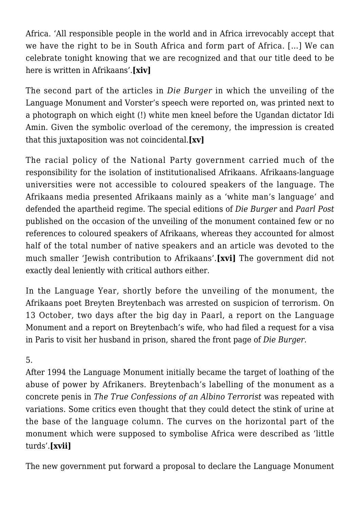Africa. 'All responsible people in the world and in Africa irrevocably accept that we have the right to be in South Africa and form part of Africa. […] We can celebrate tonight knowing that we are recognized and that our title deed to be here is written in Afrikaans'.**[xiv]**

The second part of the articles in *Die Burger* in which the unveiling of the Language Monument and Vorster's speech were reported on, was printed next to a photograph on which eight (!) white men kneel before the Ugandan dictator Idi Amin. Given the symbolic overload of the ceremony, the impression is created that this juxtaposition was not coincidental.**[xv]**

The racial policy of the National Party government carried much of the responsibility for the isolation of institutionalised Afrikaans. Afrikaans-language universities were not accessible to coloured speakers of the language. The Afrikaans media presented Afrikaans mainly as a 'white man's language' and defended the apartheid regime. The special editions of *Die Burger* and *Paarl Post* published on the occasion of the unveiling of the monument contained few or no references to coloured speakers of Afrikaans, whereas they accounted for almost half of the total number of native speakers and an article was devoted to the much smaller 'Jewish contribution to Afrikaans'.**[xvi]** The government did not exactly deal leniently with critical authors either.

In the Language Year, shortly before the unveiling of the monument, the Afrikaans poet Breyten Breytenbach was arrested on suspicion of terrorism. On 13 October, two days after the big day in Paarl, a report on the Language Monument and a report on Breytenbach's wife, who had filed a request for a visa in Paris to visit her husband in prison, shared the front page of *Die Burger.*

5.

After 1994 the Language Monument initially became the target of loathing of the abuse of power by Afrikaners. Breytenbach's labelling of the monument as a concrete penis in *The True Confessions of an Albino Terrorist* was repeated with variations. Some critics even thought that they could detect the stink of urine at the base of the language column. The curves on the horizontal part of the monument which were supposed to symbolise Africa were described as 'little turds'.**[xvii]**

The new government put forward a proposal to declare the Language Monument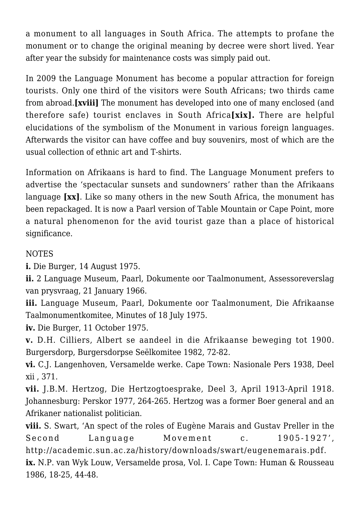a monument to all languages in South Africa. The attempts to profane the monument or to change the original meaning by decree were short lived. Year after year the subsidy for maintenance costs was simply paid out.

In 2009 the Language Monument has become a popular attraction for foreign tourists. Only one third of the visitors were South Africans; two thirds came from abroad.**[xviii]** The monument has developed into one of many enclosed (and therefore safe) tourist enclaves in South Africa**[xix].** There are helpful elucidations of the symbolism of the Monument in various foreign languages. Afterwards the visitor can have coffee and buy souvenirs, most of which are the usual collection of ethnic art and T-shirts.

Information on Afrikaans is hard to find. The Language Monument prefers to advertise the 'spectacular sunsets and sundowners' rather than the Afrikaans language **[xx]**. Like so many others in the new South Africa, the monument has been repackaged. It is now a Paarl version of Table Mountain or Cape Point, more a natural phenomenon for the avid tourist gaze than a place of historical significance.

### NOTES

**i.** Die Burger, 14 August 1975.

**ii.** 2 Language Museum, Paarl, Dokumente oor Taalmonument, Assessoreverslag van prysvraag, 21 January 1966.

**iii.** Language Museum, Paarl, Dokumente oor Taalmonument, Die Afrikaanse Taalmonumentkomitee, Minutes of 18 July 1975.

**iv.** Die Burger, 11 October 1975.

**v.** D.H. Cilliers, Albert se aandeel in die Afrikaanse beweging tot 1900. Burgersdorp, Burgersdorpse Seëlkomitee 1982, 72-82.

**vi.** C.J. Langenhoven, Versamelde werke. Cape Town: Nasionale Pers 1938, Deel xii , 371.

**vii.** J.B.M. Hertzog, Die Hertzogtoesprake, Deel 3, April 1913-April 1918. Johannesburg: Perskor 1977, 264-265. Hertzog was a former Boer general and an Afrikaner nationalist politician.

**viii.** S. Swart, 'An spect of the roles of Eugène Marais and Gustav Preller in the Second Language Movement c. 1905-1927', http://academic.sun.ac.za/history/downloads/swart/eugenemarais.pdf. **ix.** N.P. van Wyk Louw, Versamelde prosa, Vol. I. Cape Town: Human & Rousseau 1986, 18-25, 44-48.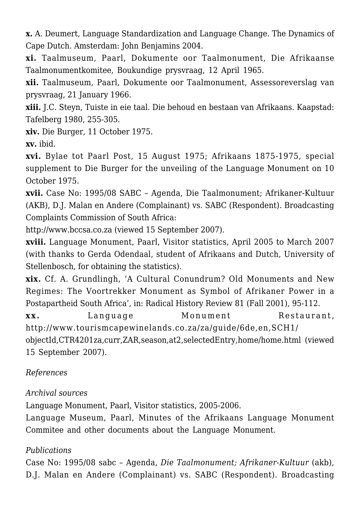**x.** A. Deumert, Language Standardization and Language Change. The Dynamics of Cape Dutch. Amsterdam: John Benjamins 2004.

**xi.** Taalmuseum, Paarl, Dokumente oor Taalmonument, Die Afrikaanse Taalmonumentkomitee, Boukundige prysvraag, 12 April 1965.

**xii.** Taalmuseum, Paarl, Dokumente oor Taalmonument, Assessoreverslag van prysvraag, 21 January 1966.

**xiii.** J.C. Steyn, Tuiste in eie taal. Die behoud en bestaan van Afrikaans. Kaapstad: Tafelberg 1980, 255-305.

**xiv.** Die Burger, 11 October 1975.

**xv.** ibid.

**xvi.** Bylae tot Paarl Post, 15 August 1975; Afrikaans 1875-1975, special supplement to Die Burger for the unveiling of the Language Monument on 10 October 1975.

**xvii.** Case No: 1995/08 SABC – Agenda, Die Taalmonument; Afrikaner-Kultuur (AKB), D.J. Malan en Andere (Complainant) vs. SABC (Respondent). Broadcasting Complaints Commission of South Africa:

http://www.bccsa.co.za (viewed 15 September 2007).

**xviii.** Language Monument, Paarl, Visitor statistics, April 2005 to March 2007 (with thanks to Gerda Odendaal, student of Afrikaans and Dutch, University of Stellenbosch, for obtaining the statistics).

**xix.** Cf. A. Grundlingh, 'A Cultural Conundrum? Old Monuments and New Regimes: The Voortrekker Monument as Symbol of Afrikaner Power in a Postapartheid South Africa', in: Radical History Review 81 (Fall 2001), 95-112.

**xx.** Language Monument Restaurant, http://www.tourismcapewinelands.co.za/za/guide/6de,en,SCH1/ objectId,CTR4201za,curr,ZAR,season,at2,selectedEntry,home/home.html (viewed

```
15 September 2007).
```
## *References*

*Archival sources*

Language Monument, Paarl, Visitor statistics, 2005-2006.

Language Museum, Paarl, Minutes of the Afrikaans Language Monument Commitee and other documents about the Language Monument.

## *Publications*

Case No: 1995/08 sabc – Agenda, *Die Taalmonument; Afrikaner-Kultuur* (akb), D.J. Malan en Andere (Complainant) vs. SABC (Respondent). Broadcasting